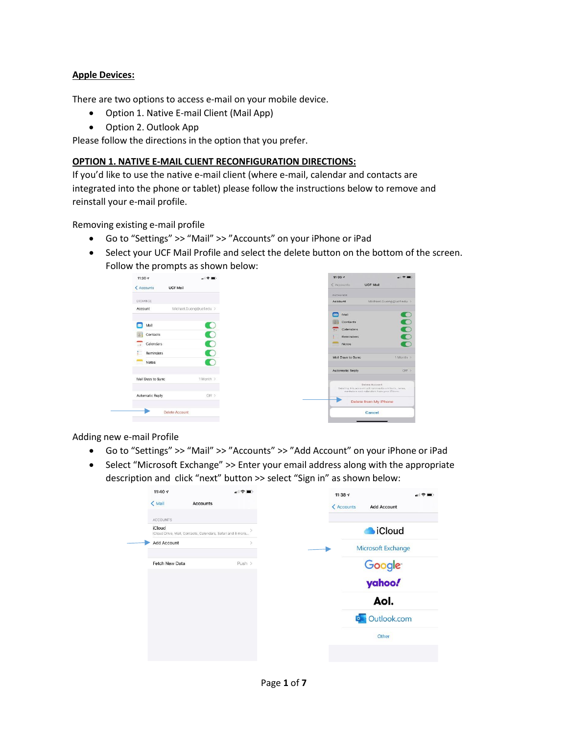## **Apple Devices:**

There are two options to access e-mail on your mobile device.

- Option 1. Native E-mail Client (Mail App)
- Option 2. Outlook App

Please follow the directions in the option that you prefer.

## **OPTION 1. NATIVE E-MAIL CLIENT RECONFIGURATION DIRECTIONS:**

If you'd like to use the native e-mail client (where e-mail, calendar and contacts are integrated into the phone or tablet) please follow the instructions below to remove and reinstall your e-mail profile.

Removing existing e-mail profile

- Go to "Settings" >> "Mail" >> "Accounts" on your iPhone or iPad
- Select your UCF Mail Profile and select the delete button on the bottom of the screen. Follow the prompts as shown below:



Adding new e-mail Profile

- Go to "Settings" >> "Mail" >> "Accounts" >> "Add Account" on your iPhone or iPad
- Select "Microsoft Exchange" >> Enter your email address along with the appropriate description and click "next" button >> select "Sign in" as shown below:

| 11:40 $\tau$<br><b>Accounts</b>                                      | $\blacksquare$ | 11:387                               |
|----------------------------------------------------------------------|----------------|--------------------------------------|
| < Mail                                                               |                | < Accounts<br><b>Add Account</b>     |
| <b>ACCOUNTS</b>                                                      |                |                                      |
| iCloud<br>iCloud Drive, Mail, Contacts, Calendars, Safari and 8 more |                | <b>Cloud</b>                         |
| Add Account                                                          |                | Microsoft Exchange                   |
| Fetch New Data                                                       | $Push$ >       |                                      |
|                                                                      |                | Google <sup>-</sup><br><b>yahoo!</b> |
|                                                                      |                | Aol.                                 |
|                                                                      |                | Outlook.com<br>$\overline{\bullet}$  |
|                                                                      |                | Other                                |
|                                                                      |                |                                      |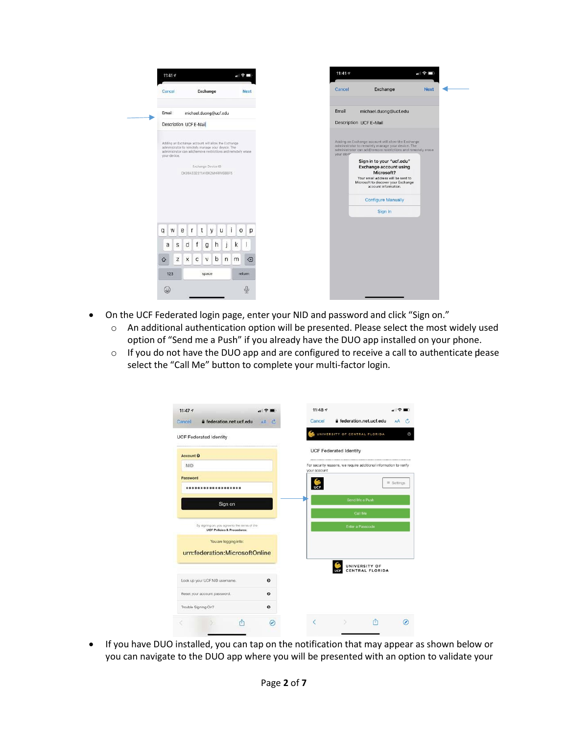

- On the UCF Federated login page, enter your NID and password and click "Sign on."
	- o An additional authentication option will be presented. Please select the most widely used option of "Send me a Push" if you already have the DUO app installed on your phone.
	- o If you do not have the DUO app and are configured to receive a call to authenticate please select the "Call Me" button to complete your multi-factor login.



• If you have DUO installed, you can tap on the notification that may appear as shown below or you can navigate to the DUO app where you will be presented with an option to validate your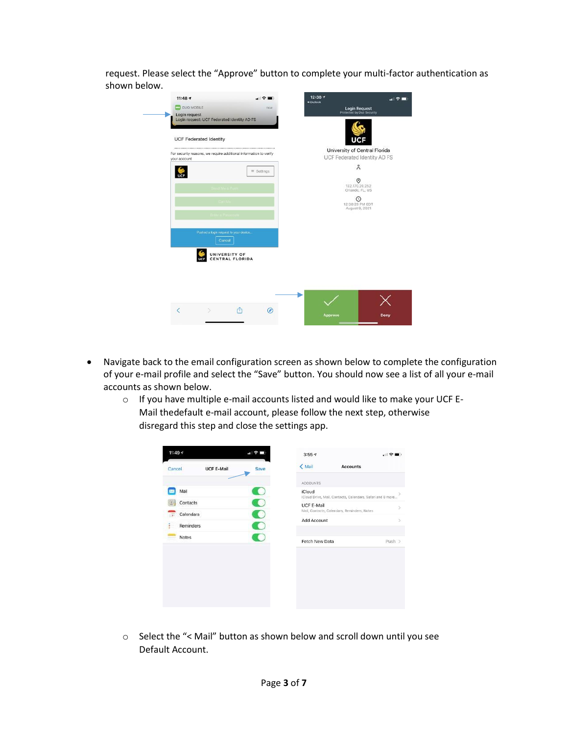request. Please select the "Approve" button to complete your multi-factor authentication as shown below.

| <b>UCF Federated Identity</b> |                                                                   |                   | UCF                                                           |
|-------------------------------|-------------------------------------------------------------------|-------------------|---------------------------------------------------------------|
| your account                  | For security reasons, we require additional information to verify |                   | University of Central Florida<br>UCF Federated Identity AD FS |
|                               |                                                                   | $\equiv$ Settings | $\stackrel{\circ}{\sim}$                                      |
| <b>UCF</b>                    | end Mein Push                                                     |                   | ⊚<br>132.170.20.252<br>Orlando, FL, US                        |
|                               | Call Me                                                           |                   | $\odot$<br>12:38:29 PM EDT                                    |
|                               | Enter a Passcode                                                  |                   | August 9, 2021                                                |
|                               | Pushed a login request to your device<br>Cancel                   |                   |                                                               |
|                               | UNIVERSITY OF<br>CENTRAL FLORIDA                                  |                   |                                                               |
|                               |                                                                   |                   |                                                               |

- Navigate back to the email configuration screen as shown below to complete the configuration of your e-mail profile and select the "Save" button. You should now see a list of all your e-mail accounts as shown below.
	- o If you have multiple e-mail accounts listed and would like to make your UCF E-Mail thedefault e-mail account, please follow the next step, otherwise disregard this step and close the settings app.

| ACCOUNTS<br>Mail<br>iCloud<br>iCloud Drive, Mail, Contacts, Calendars, Safari and 8 more<br>Contacts<br><b>UCF E-Mail</b><br>Mail, Contacts, Calendars, Reminders, Notes<br>Calendars |        |
|---------------------------------------------------------------------------------------------------------------------------------------------------------------------------------------|--------|
|                                                                                                                                                                                       |        |
|                                                                                                                                                                                       |        |
|                                                                                                                                                                                       |        |
|                                                                                                                                                                                       |        |
|                                                                                                                                                                                       |        |
| Add Account                                                                                                                                                                           |        |
| Reminders                                                                                                                                                                             |        |
| Notes                                                                                                                                                                                 |        |
| Fetch New Data                                                                                                                                                                        | Push > |

o Select the "< Mail" button as shown below and scroll down until you see Default Account.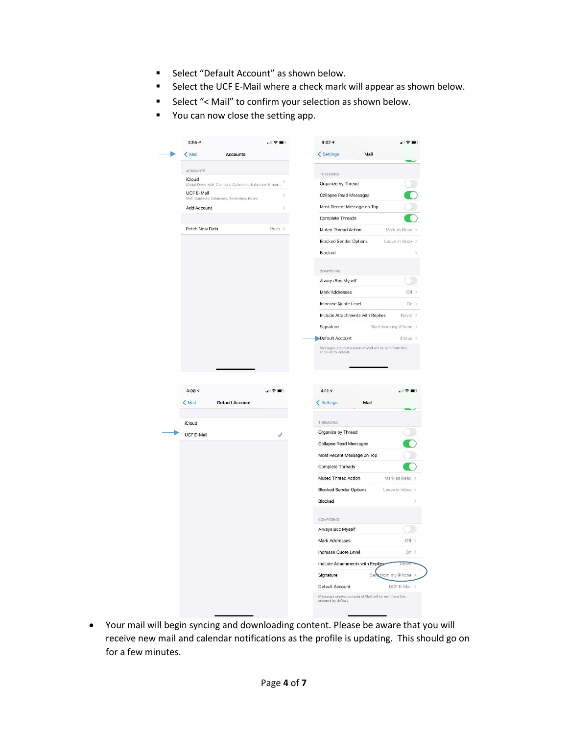- Select "Default Account" as shown below.
- Select the UCF E-Mail where a check mark will appear as shown below.
- Select "< Mail" to confirm your selection as shown below.
- You can now close the setting app.

| $\langle$ Mail<br><b>Accounts</b>                           |        | < Settings<br>Mail               |                                                                           |
|-------------------------------------------------------------|--------|----------------------------------|---------------------------------------------------------------------------|
|                                                             |        |                                  |                                                                           |
| <b>ACCOUNTS</b><br>iCloud                                   |        | THREADING                        |                                                                           |
| iCloud Drive, Mail, Contacts, Calendars, Safari and 8 more. |        | Organize by Thread               |                                                                           |
| UCF E-Mail<br>Mail, Contacts, Calendars, Reminders, Notes   |        | Collapse Read Messages           |                                                                           |
| Add Account                                                 |        | Most Recent Message on Top       |                                                                           |
|                                                             |        | Complete Threads                 |                                                                           |
| Fetch New Data                                              | Push > | Muted Thread Action              | Mark as Read >                                                            |
|                                                             |        | <b>Blocked Sender Options</b>    | Leave in Inbox >                                                          |
|                                                             |        | Blocked                          |                                                                           |
|                                                             |        | <b>COMPOSING</b>                 |                                                                           |
|                                                             |        | Always Bcc Myself                |                                                                           |
|                                                             |        | Mark Addresses                   | Off >                                                                     |
|                                                             |        | Increase Quote Level             | On >                                                                      |
|                                                             |        | Include Attachments with Replies | Never >                                                                   |
|                                                             |        | Signature                        | Sent from my iPhone >                                                     |
|                                                             |        | Default Account                  | iCloud >                                                                  |
| $4:08 \; \text{-}$                                          | .⊩ হ   | 4:11.9                           | 川守                                                                        |
| $\langle$ Mail<br>Default Account                           |        | < Settings<br>Mail               |                                                                           |
| iCloud                                                      |        | THREADING                        |                                                                           |
| UCF E-Mail                                                  |        | Organize by Thread               |                                                                           |
|                                                             |        | Collapse Read Messages           |                                                                           |
|                                                             |        | Most Recent Message on Top       |                                                                           |
|                                                             |        | <b>Complete Threads</b>          |                                                                           |
|                                                             |        | Muted Thread Action              |                                                                           |
|                                                             |        | <b>Blocked Sender Options</b>    |                                                                           |
|                                                             |        | Blocked                          |                                                                           |
|                                                             |        | COMPOSING                        |                                                                           |
|                                                             |        | Always Bcc Myself                |                                                                           |
|                                                             |        | Mark Addresses                   |                                                                           |
|                                                             |        | Increase Quote Level             |                                                                           |
|                                                             |        | Include Attachments with Replies | vever                                                                     |
|                                                             |        | Signature<br>Sei                 | Mark as Read ><br>Leave in Inbox ><br>Off $>$<br>On ><br>from my iPhone > |

• Your mail will begin syncing and downloading content. Please be aware that you will receive new mail and calendar notifications as the profile is updating. This should go on for a few minutes.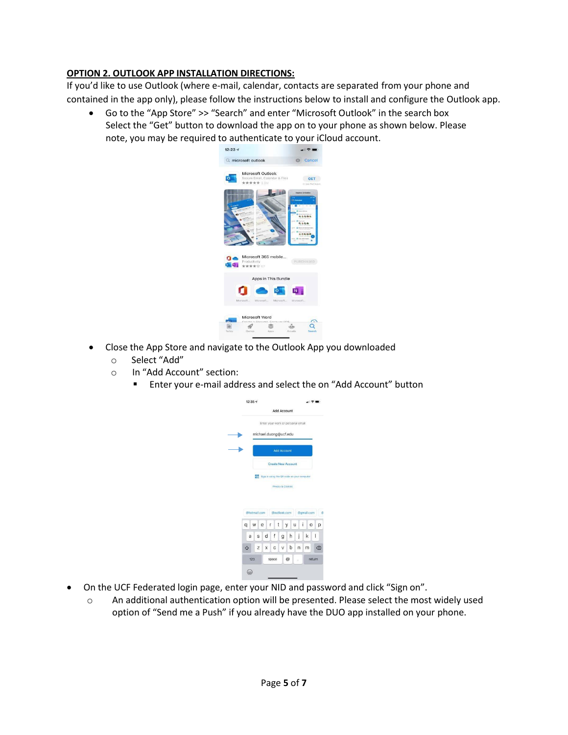## **OPTION 2. OUTLOOK APP INSTALLATION DIRECTIONS:**

If you'd like to use Outlook (where e-mail, calendar, contacts are separated from your phone and contained in the app only), please follow the instructions below to install and configure the Outlook app.

• Go to the "App Store" >> "Search" and enter "Microsoft Outlook" in the search box Select the "Get" button to download the app on to your phone as shown below. Please note, you may be required to authenticate to your iCloud account.



- Close the App Store and navigate to the Outlook App you downloaded
	- o Select "Add"
	- o In "Add Account" section:
		- Enter your e-mail address and select the on "Add Account" button



- On the UCF Federated login page, enter your NID and password and click "Sign on".
	- o An additional authentication option will be presented. Please select the most widely used option of "Send me a Push" if you already have the DUO app installed on your phone.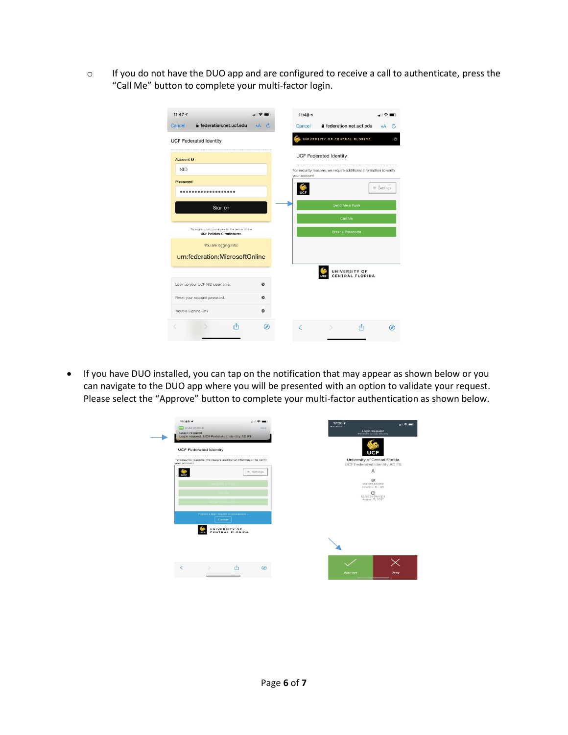o If you do not have the DUO app and are configured to receive a call to authenticate, press the "Call Me" button to complete your multi-factor login.

| a federation.net.ucf.edu<br>Cancel                                                    | $AA$ $C$  | Cancel       | e federation.net.ucf.edu                                          | AA                |
|---------------------------------------------------------------------------------------|-----------|--------------|-------------------------------------------------------------------|-------------------|
| <b>UCF Federated Identity</b>                                                         |           |              | UNIVERSITY OF CENTRAL FLORIDA                                     |                   |
| Account <sup>6</sup>                                                                  |           |              | <b>UCF Federated Identity</b>                                     |                   |
| <b>NID</b>                                                                            |           | your account | For security reasons, we require additional information to verify |                   |
| Password                                                                              |           |              |                                                                   |                   |
|                                                                                       |           |              |                                                                   | $\equiv$ Settings |
| Sign on                                                                               |           |              | Send Me a Push                                                    |                   |
|                                                                                       |           |              |                                                                   |                   |
|                                                                                       |           |              | Call Me                                                           |                   |
| By signing on, you agree to the terms of the<br><b>UCF Policies &amp; Procedures.</b> |           |              | Enter a Passcode                                                  |                   |
| You are logging into:                                                                 |           |              |                                                                   |                   |
| urn:federation:MicrosoftOnline                                                        |           |              |                                                                   |                   |
|                                                                                       |           |              | UNIVERSITY OF<br>CENTRAL FLORIDA                                  |                   |
|                                                                                       | $\bullet$ |              |                                                                   |                   |
|                                                                                       | $\bullet$ |              |                                                                   |                   |
| Look up your UCF NID usemame.<br>Reset your account password.<br>Trouble Signing On?  | $\bullet$ |              |                                                                   |                   |

• If you have DUO installed, you can tap on the notification that may appear as shown below or you can navigate to the DUO app where you will be presented with an option to validate your request. Please select the "Approve" button to complete your multi-factor authentication as shown below.